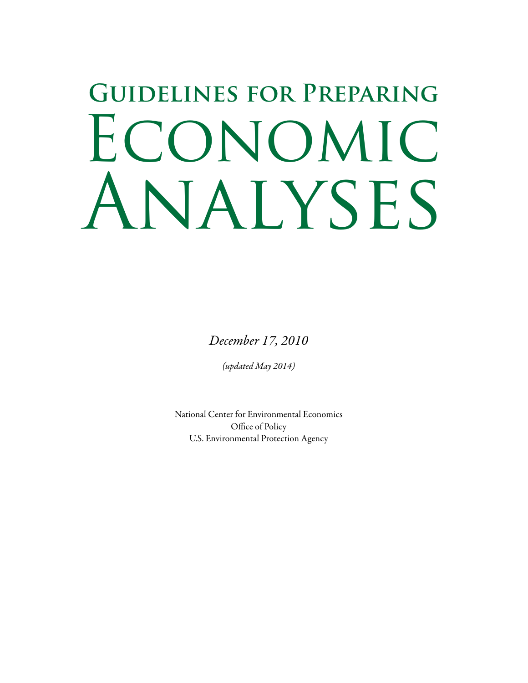# **Guidelines for Preparing** Economic ANALYSES

*December 17, 2010* 

*(updated May 2014)* 

National Center for Environmental Economics Office of Policy U.S. Environmental Protection Agency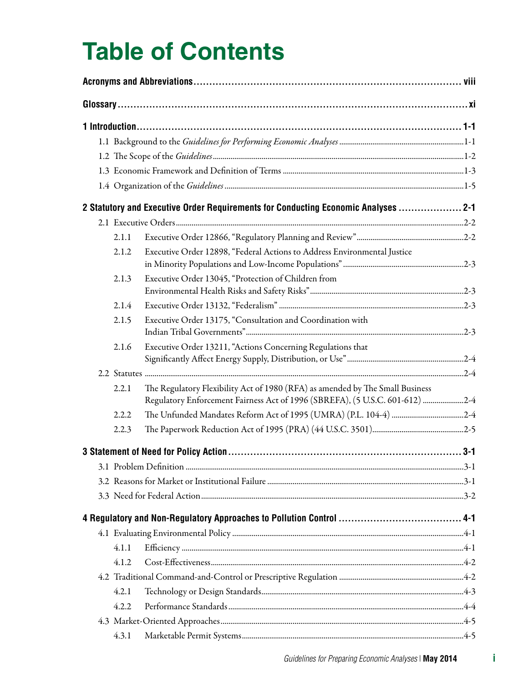|       | 2 Statutory and Executive Order Requirements for Conducting Economic Analyses  2-1 |  |
|-------|------------------------------------------------------------------------------------|--|
|       |                                                                                    |  |
| 2.1.1 |                                                                                    |  |
| 2.1.2 | Executive Order 12898, "Federal Actions to Address Environmental Justice           |  |
| 2.1.3 | Executive Order 13045, "Protection of Children from                                |  |
|       |                                                                                    |  |
| 2.1.4 |                                                                                    |  |
| 2.1.5 | Executive Order 13175, "Consultation and Coordination with                         |  |
| 2.1.6 | Executive Order 13211, "Actions Concerning Regulations that                        |  |
|       |                                                                                    |  |
| 2.2.1 | The Regulatory Flexibility Act of 1980 (RFA) as amended by The Small Business      |  |
|       | Regulatory Enforcement Fairness Act of 1996 (SBREFA), (5 U.S.C. 601-612) 2-4       |  |
| 2.2.2 |                                                                                    |  |
| 2.2.3 |                                                                                    |  |
|       |                                                                                    |  |
|       |                                                                                    |  |
|       |                                                                                    |  |
|       |                                                                                    |  |
|       |                                                                                    |  |
|       |                                                                                    |  |
| 4.1.1 |                                                                                    |  |
| 4.1.2 |                                                                                    |  |
|       |                                                                                    |  |
| 4.2.1 |                                                                                    |  |
| 4.2.2 |                                                                                    |  |
|       |                                                                                    |  |
| 4.3.1 |                                                                                    |  |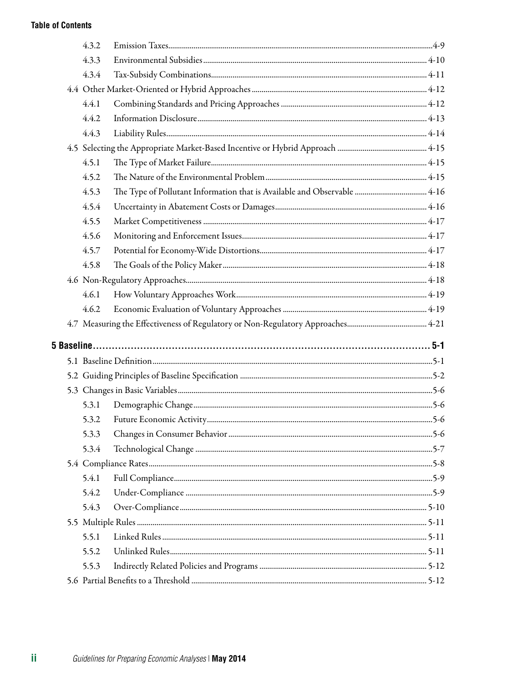| 4.3.2 |  |
|-------|--|
| 4.3.3 |  |
| 4.3.4 |  |
|       |  |
| 4.4.1 |  |
| 4.4.2 |  |
| 4.4.3 |  |
|       |  |
| 4.5.1 |  |
| 4.5.2 |  |
| 4.5.3 |  |
| 4.5.4 |  |
| 4.5.5 |  |
| 4.5.6 |  |
| 4.5.7 |  |
| 4.5.8 |  |
|       |  |
| 4.6.1 |  |
| 4.6.2 |  |
|       |  |
|       |  |
|       |  |
|       |  |
|       |  |
|       |  |
| 5.3.1 |  |
| 5.3.2 |  |
| 5.3.3 |  |
| 5.3.4 |  |
|       |  |
| 5.4.1 |  |
| 5.4.2 |  |
| 5.4.3 |  |
|       |  |
| 5.5.1 |  |
| 5.5.2 |  |
| 5.5.3 |  |
|       |  |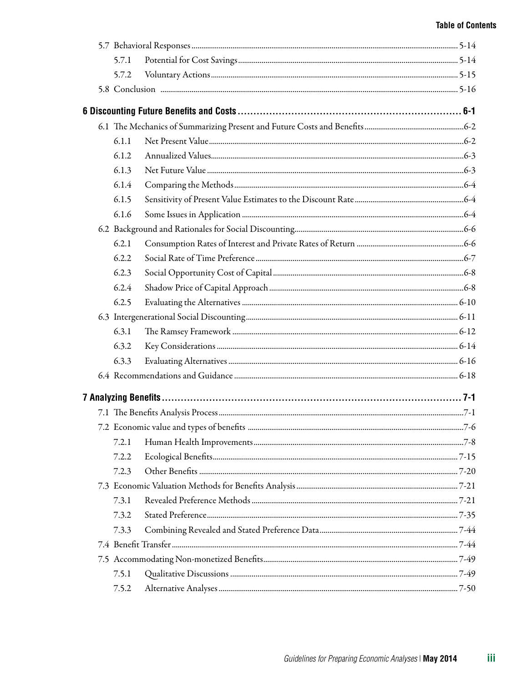| 5.7.1 |  |
|-------|--|
| 5.7.2 |  |
|       |  |
|       |  |
|       |  |
| 6.1.1 |  |
| 6.1.2 |  |
| 6.1.3 |  |
| 6.1.4 |  |
| 6.1.5 |  |
| 6.1.6 |  |
|       |  |
| 6.2.1 |  |
| 6.2.2 |  |
| 6.2.3 |  |
| 6.2.4 |  |
| 6.2.5 |  |
|       |  |
| 6.3.1 |  |
| 6.3.2 |  |
| 6.3.3 |  |
|       |  |
|       |  |
|       |  |
|       |  |
| 7.2.1 |  |
| 7.2.2 |  |
| 7.2.3 |  |
|       |  |
| 7.3.1 |  |
| 7.3.2 |  |
| 7.3.3 |  |
|       |  |
|       |  |
| 7.5.1 |  |
| 7.5.2 |  |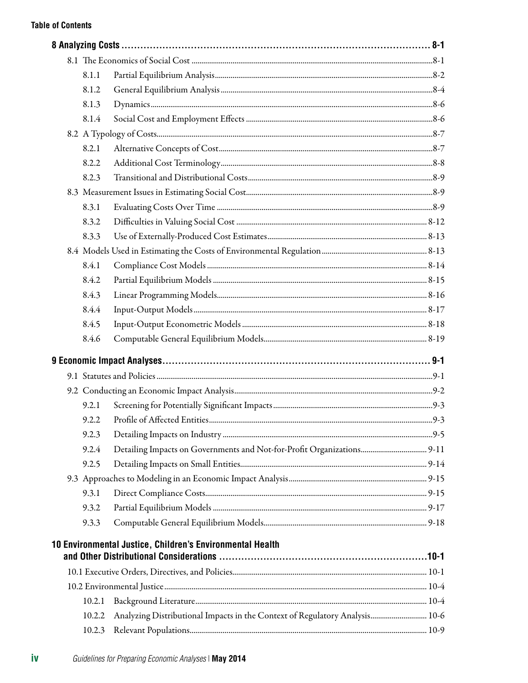| 8.1.1  |                                                                             |  |
|--------|-----------------------------------------------------------------------------|--|
| 8.1.2  |                                                                             |  |
| 8.1.3  |                                                                             |  |
| 8.1.4  |                                                                             |  |
|        |                                                                             |  |
| 8.2.1  |                                                                             |  |
| 8.2.2  |                                                                             |  |
| 8.2.3  |                                                                             |  |
|        |                                                                             |  |
| 8.3.1  |                                                                             |  |
| 8.3.2  |                                                                             |  |
| 8.3.3  |                                                                             |  |
|        |                                                                             |  |
| 8.4.1  |                                                                             |  |
| 8.4.2  |                                                                             |  |
| 8.4.3  |                                                                             |  |
| 8.4.4  |                                                                             |  |
| 8.4.5  |                                                                             |  |
| 8.4.6  |                                                                             |  |
|        |                                                                             |  |
|        |                                                                             |  |
|        |                                                                             |  |
|        |                                                                             |  |
| 9.2.1  |                                                                             |  |
| 9.2.2  |                                                                             |  |
| 9.2.3  |                                                                             |  |
| 9.2.4  |                                                                             |  |
| 9.2.5  | Detailing Impacts on Governments and Not-for-Profit Organizations 9-11      |  |
|        |                                                                             |  |
| 9.3.1  |                                                                             |  |
| 9.3.2  |                                                                             |  |
| 9.3.3  |                                                                             |  |
|        | 10 Environmental Justice, Children's Environmental Health                   |  |
|        |                                                                             |  |
|        |                                                                             |  |
|        |                                                                             |  |
| 10.2.1 |                                                                             |  |
| 10.2.2 | Analyzing Distributional Impacts in the Context of Regulatory Analysis 10-6 |  |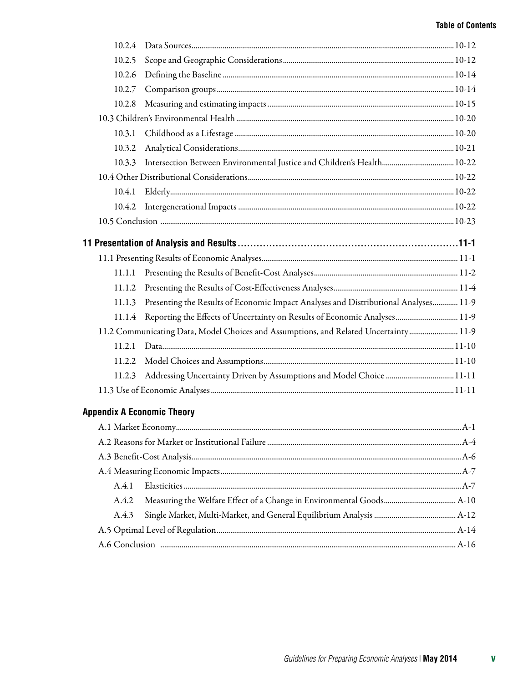| 10.2.5                            |                                                                                       |  |
|-----------------------------------|---------------------------------------------------------------------------------------|--|
| 10.2.6                            |                                                                                       |  |
| 10.2.7                            |                                                                                       |  |
| 10.2.8                            |                                                                                       |  |
|                                   |                                                                                       |  |
| 10.3.1                            |                                                                                       |  |
| 10.3.2                            |                                                                                       |  |
| 10.3.3                            |                                                                                       |  |
|                                   |                                                                                       |  |
| 10.4.1                            |                                                                                       |  |
| 10.4.2                            |                                                                                       |  |
|                                   |                                                                                       |  |
|                                   |                                                                                       |  |
|                                   |                                                                                       |  |
| 11.1.1                            |                                                                                       |  |
| 11.1.2                            |                                                                                       |  |
| 11.1.3                            | Presenting the Results of Economic Impact Analyses and Distributional Analyses 11-9   |  |
| 11.1.4                            | Reporting the Effects of Uncertainty on Results of Economic Analyses 11-9             |  |
|                                   | 11.2 Communicating Data, Model Choices and Assumptions, and Related Uncertainty  11-9 |  |
| 11.2.1                            |                                                                                       |  |
| 11.2.2                            |                                                                                       |  |
| 11.2.3                            | Addressing Uncertainty Driven by Assumptions and Model Choice  11-11                  |  |
|                                   |                                                                                       |  |
|                                   |                                                                                       |  |
| <b>Appendix A Economic Theory</b> |                                                                                       |  |
|                                   |                                                                                       |  |
|                                   |                                                                                       |  |
|                                   |                                                                                       |  |
|                                   |                                                                                       |  |

 $\mathbf V$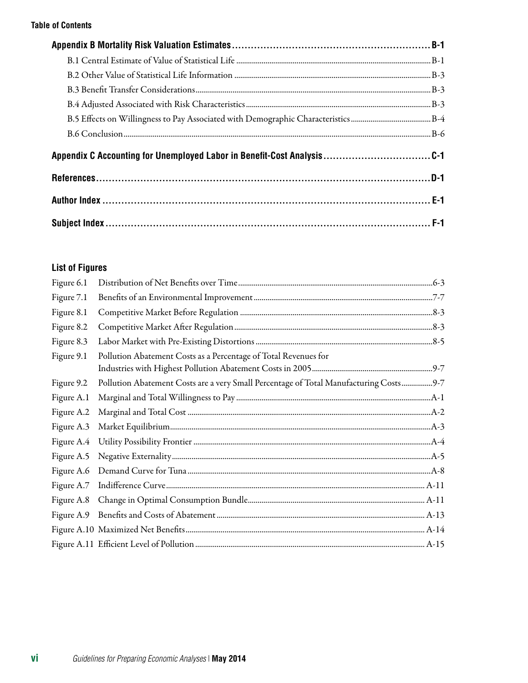# **List of Figures**

| Figure 6.1 |                                                                                       |  |
|------------|---------------------------------------------------------------------------------------|--|
| Figure 7.1 |                                                                                       |  |
| Figure 8.1 |                                                                                       |  |
| Figure 8.2 |                                                                                       |  |
| Figure 8.3 |                                                                                       |  |
| Figure 9.1 | Pollution Abatement Costs as a Percentage of Total Revenues for                       |  |
| Figure 9.2 | Pollution Abatement Costs are a very Small Percentage of Total Manufacturing Costs9-7 |  |
| Figure A.1 |                                                                                       |  |
| Figure A.2 |                                                                                       |  |
| Figure A.3 |                                                                                       |  |
| Figure A.4 |                                                                                       |  |
| Figure A.5 |                                                                                       |  |
|            |                                                                                       |  |
| Figure A.7 |                                                                                       |  |
| Figure A.8 |                                                                                       |  |
|            |                                                                                       |  |
|            |                                                                                       |  |
|            |                                                                                       |  |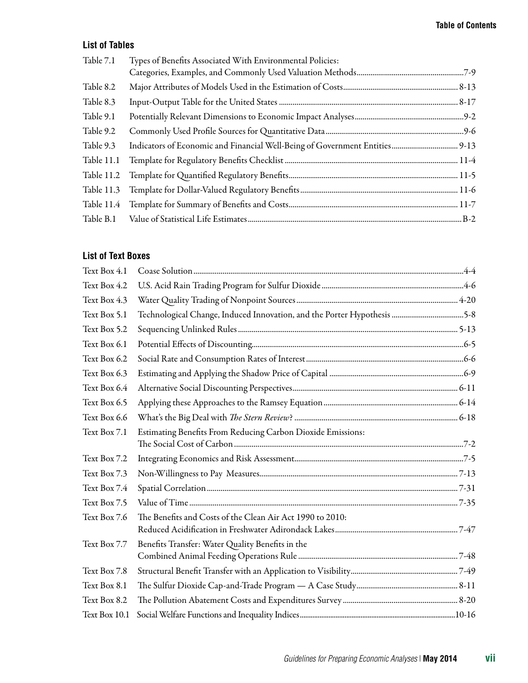# **List of Tables**

| Table 7.1  | Types of Benefits Associated With Environmental Policies: |  |
|------------|-----------------------------------------------------------|--|
|            |                                                           |  |
| Table 8.2  |                                                           |  |
| Table 8.3  |                                                           |  |
| Table 9.1  |                                                           |  |
| Table 9.2  |                                                           |  |
| Table 9.3  |                                                           |  |
| Table 11.1 |                                                           |  |
|            |                                                           |  |
|            |                                                           |  |
|            |                                                           |  |
|            |                                                           |  |

# **List of Text Boxes**

| Text Box 4.1  |                                                             |  |
|---------------|-------------------------------------------------------------|--|
| Text Box 4.2  |                                                             |  |
| Text Box 4.3  |                                                             |  |
| Text Box 5.1  |                                                             |  |
| Text Box 5.2  |                                                             |  |
| Text Box 6.1  |                                                             |  |
| Text Box 6.2  |                                                             |  |
| Text Box 6.3  |                                                             |  |
| Text Box 6.4  |                                                             |  |
| Text Box 6.5  |                                                             |  |
| Text Box 6.6  |                                                             |  |
| Text Box 7.1  | Estimating Benefits From Reducing Carbon Dioxide Emissions: |  |
| Text Box 7.2  |                                                             |  |
| Text Box 7.3  |                                                             |  |
| Text Box 7.4  |                                                             |  |
| Text Box 7.5  |                                                             |  |
| Text Box 7.6  | The Benefits and Costs of the Clean Air Act 1990 to 2010:   |  |
| Text Box 7.7  | Benefits Transfer: Water Quality Benefits in the            |  |
| Text Box 7.8  |                                                             |  |
| Text Box 8.1  |                                                             |  |
| Text Box 8.2  |                                                             |  |
| Text Box 10.1 |                                                             |  |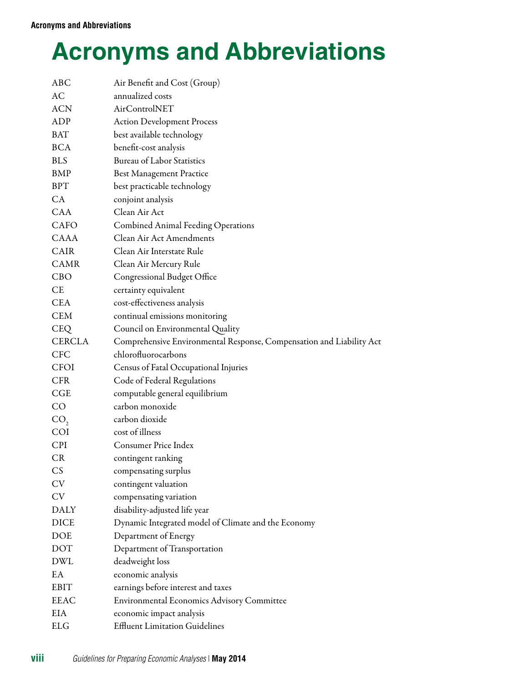# **Acronyms and Abbreviations**

| ABC             | Air Benefit and Cost (Group)                                         |
|-----------------|----------------------------------------------------------------------|
| AC              | annualized costs                                                     |
| <b>ACN</b>      | <b>AirControlNET</b>                                                 |
| ADP             | <b>Action Development Process</b>                                    |
| BAT             | best available technology                                            |
| <b>BCA</b>      | benefit-cost analysis                                                |
| <b>BLS</b>      | <b>Bureau of Labor Statistics</b>                                    |
| <b>BMP</b>      | <b>Best Management Practice</b>                                      |
| <b>BPT</b>      | best practicable technology                                          |
| CA              | conjoint analysis                                                    |
| <b>CAA</b>      | Clean Air Act                                                        |
| CAFO            | <b>Combined Animal Feeding Operations</b>                            |
| CAAA            | Clean Air Act Amendments                                             |
| <b>CAIR</b>     | Clean Air Interstate Rule                                            |
| <b>CAMR</b>     | Clean Air Mercury Rule                                               |
| CBO             | Congressional Budget Office                                          |
| CE              | certainty equivalent                                                 |
| <b>CEA</b>      | cost-effectiveness analysis                                          |
| <b>CEM</b>      | continual emissions monitoring                                       |
| <b>CEQ</b>      | Council on Environmental Quality                                     |
| <b>CERCLA</b>   | Comprehensive Environmental Response, Compensation and Liability Act |
| <b>CFC</b>      | chlorofluorocarbons                                                  |
| <b>CFOI</b>     | Census of Fatal Occupational Injuries                                |
| <b>CFR</b>      | Code of Federal Regulations                                          |
| CGE             | computable general equilibrium                                       |
| CO              | carbon monoxide                                                      |
| CO <sub>2</sub> | carbon dioxide                                                       |
| COI             | cost of illness                                                      |
| <b>CPI</b>      | <b>Consumer Price Index</b>                                          |
| CR.             | contingent ranking                                                   |
| CS              | compensating surplus                                                 |
| CV              | contingent valuation                                                 |
| <b>CV</b>       | compensating variation                                               |
| <b>DALY</b>     | disability-adjusted life year                                        |
| <b>DICE</b>     | Dynamic Integrated model of Climate and the Economy                  |
| <b>DOE</b>      | Department of Energy                                                 |
| DOT             | Department of Transportation                                         |
| DWL             | deadweight loss                                                      |
| EA              | economic analysis                                                    |
| <b>EBIT</b>     | earnings before interest and taxes                                   |
| <b>EEAC</b>     | <b>Environmental Economics Advisory Committee</b>                    |
| <b>EIA</b>      | economic impact analysis                                             |
| <b>ELG</b>      | <b>Effluent Limitation Guidelines</b>                                |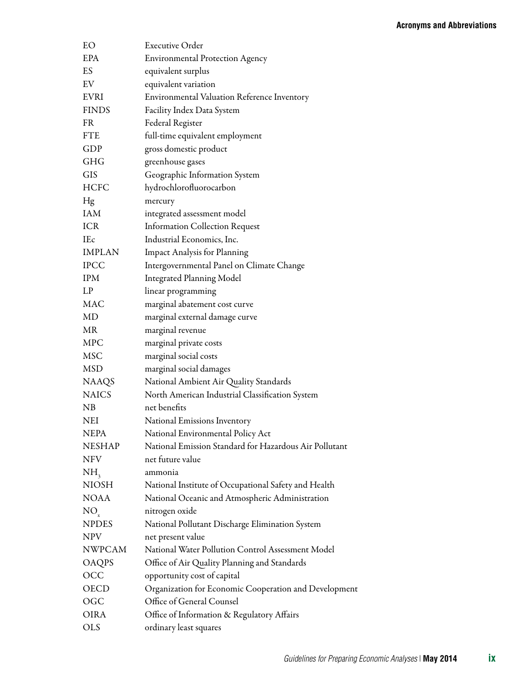| EO              | <b>Executive Order</b>                                 |
|-----------------|--------------------------------------------------------|
| EPA             | <b>Environmental Protection Agency</b>                 |
| ES              | equivalent surplus                                     |
| EV              | equivalent variation                                   |
| EVRI            | Environmental Valuation Reference Inventory            |
| <b>FINDS</b>    | Facility Index Data System                             |
| FR              | Federal Register                                       |
| <b>FTE</b>      | full-time equivalent employment                        |
| GDP             | gross domestic product                                 |
| GHG             | greenhouse gases                                       |
| <b>GIS</b>      | Geographic Information System                          |
| <b>HCFC</b>     | hydrochlorofluorocarbon                                |
| Hg              | mercury                                                |
| IAM             | integrated assessment model                            |
| <b>ICR</b>      | <b>Information Collection Request</b>                  |
| <b>IEc</b>      | Industrial Economics, Inc.                             |
| <b>IMPLAN</b>   | Impact Analysis for Planning                           |
| <b>IPCC</b>     | Intergovernmental Panel on Climate Change              |
| <b>IPM</b>      | <b>Integrated Planning Model</b>                       |
| LP              | linear programming                                     |
| <b>MAC</b>      | marginal abatement cost curve                          |
| MD              | marginal external damage curve                         |
| MR              | marginal revenue                                       |
| MPC             | marginal private costs                                 |
| MSC             | marginal social costs                                  |
| MSD             | marginal social damages                                |
| <b>NAAQS</b>    | National Ambient Air Quality Standards                 |
| <b>NAICS</b>    | North American Industrial Classification System        |
| NΒ              | net benefits                                           |
| NEI             | National Emissions Inventory                           |
| NEPA            | National Environmental Policy Act                      |
| <b>NESHAP</b>   | National Emission Standard for Hazardous Air Pollutant |
| <b>NFV</b>      | net future value                                       |
| NH <sub>3</sub> | ammonia                                                |
| <b>NIOSH</b>    | National Institute of Occupational Safety and Health   |
| <b>NOAA</b>     | National Oceanic and Atmospheric Administration        |
| NO <sub>z</sub> | nitrogen oxide                                         |
| <b>NPDES</b>    | National Pollutant Discharge Elimination System        |
| <b>NPV</b>      | net present value                                      |
| <b>NWPCAM</b>   | National Water Pollution Control Assessment Model      |
| <b>OAQPS</b>    | Office of Air Quality Planning and Standards           |
| OCC             | opportunity cost of capital                            |
| OECD            | Organization for Economic Cooperation and Development  |
| OGC             | Office of General Counsel                              |
| OIRA            | Office of Information & Regulatory Affairs             |
| <b>OLS</b>      | ordinary least squares                                 |
|                 |                                                        |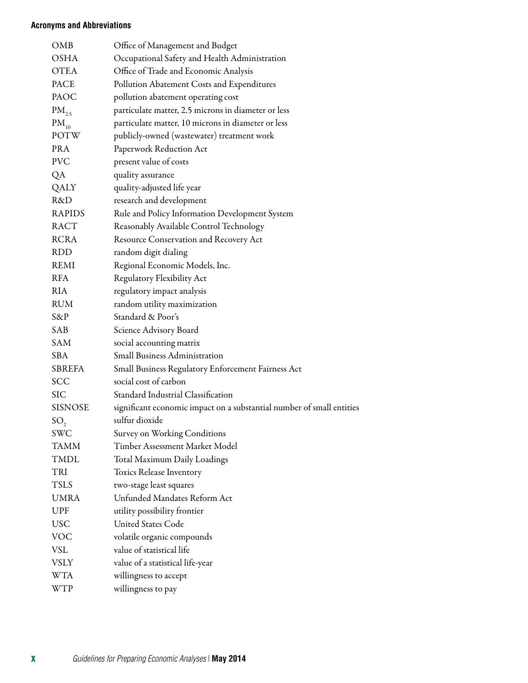### **Acronyms and Abbreviations**

| <b>OMB</b>      | Office of Management and Budget                                       |
|-----------------|-----------------------------------------------------------------------|
| <b>OSHA</b>     | Occupational Safety and Health Administration                         |
| <b>OTEA</b>     | Office of Trade and Economic Analysis                                 |
| PACE            | Pollution Abatement Costs and Expenditures                            |
| PAOC            | pollution abatement operating cost                                    |
| $PM_{2.5}$      | particulate matter, 2.5 microns in diameter or less                   |
| $PM_{10}$       | particulate matter, 10 microns in diameter or less                    |
| <b>POTW</b>     | publicly-owned (wastewater) treatment work                            |
| <b>PRA</b>      | Paperwork Reduction Act                                               |
| <b>PVC</b>      | present value of costs                                                |
| QA              | quality assurance                                                     |
| QALY            | quality-adjusted life year                                            |
| R&D             | research and development                                              |
| <b>RAPIDS</b>   | Rule and Policy Information Development System                        |
| <b>RACT</b>     | Reasonably Available Control Technology                               |
| <b>RCRA</b>     | Resource Conservation and Recovery Act                                |
| <b>RDD</b>      | random digit dialing                                                  |
| <b>REMI</b>     | Regional Economic Models, Inc.                                        |
| <b>RFA</b>      | Regulatory Flexibility Act                                            |
| <b>RIA</b>      | regulatory impact analysis                                            |
| <b>RUM</b>      | random utility maximization                                           |
| S&P             | Standard & Poor's                                                     |
| SAB             | Science Advisory Board                                                |
| SAM             | social accounting matrix                                              |
| <b>SBA</b>      | Small Business Administration                                         |
| SBREFA          | Small Business Regulatory Enforcement Fairness Act                    |
| SCC             | social cost of carbon                                                 |
| <b>SIC</b>      | Standard Industrial Classification                                    |
| SISNOSE         | significant economic impact on a substantial number of small entities |
| SO <sub>2</sub> | sulfur dioxide                                                        |
| SWC             | Survey on Working Conditions                                          |
| <b>TAMM</b>     | Timber Assessment Market Model                                        |
| <b>TMDL</b>     | Total Maximum Daily Loadings                                          |
| TRI             | Toxics Release Inventory                                              |
| <b>TSLS</b>     | two-stage least squares                                               |
| UMRA            | Unfunded Mandates Reform Act                                          |
| <b>UPF</b>      | utility possibility frontier                                          |
| <b>USC</b>      | <b>United States Code</b>                                             |
| <b>VOC</b>      | volatile organic compounds                                            |
| <b>VSL</b>      | value of statistical life                                             |
| <b>VSLY</b>     | value of a statistical life-year                                      |
| WTA             | willingness to accept                                                 |
| <b>WTP</b>      | willingness to pay                                                    |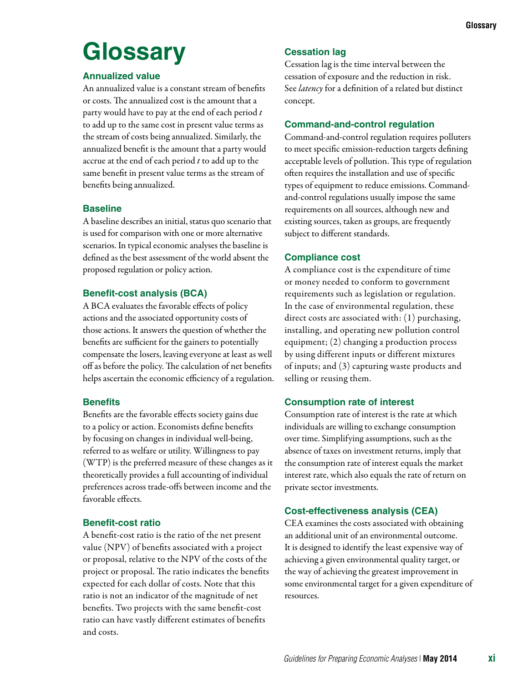# **Glossary**

#### **Annualized value**

An annualized value is a constant stream of benefits or costs. The annualized cost is the amount that a party would have to pay at the end of each period *t*  to add up to the same cost in present value terms as the stream of costs being annualized. Similarly, the annualized benefit is the amount that a party would accrue at the end of each period *t* to add up to the same benefit in present value terms as the stream of benefits being annualized.

#### **Baseline**

A baseline describes an initial, status quo scenario that is used for comparison with one or more alternative scenarios. In typical economic analyses the baseline is defined as the best assessment of the world absent the proposed regulation or policy action.

#### **Benefit-cost analysis (BCA)**

A BCA evaluates the favorable effects of policy actions and the associated opportunity costs of those actions. It answers the question of whether the benefits are sufficient for the gainers to potentially compensate the losers, leaving everyone at least as well off as before the policy. The calculation of net benefits helps ascertain the economic efficiency of a regulation.

#### **Benefits**

Benefits are the favorable effects society gains due to a policy or action. Economists define benefits by focusing on changes in individual well-being, referred to as welfare or utility. Willingness to pay (WTP) is the preferred measure of these changes as it theoretically provides a full accounting of individual preferences across trade-offs between income and the favorable effects.

# **Benefit-cost ratio**

A benefit-cost ratio is the ratio of the net present value (NPV) of benefits associated with a project or proposal, relative to the NPV of the costs of the project or proposal. The ratio indicates the benefits expected for each dollar of costs. Note that this ratio is not an indicator of the magnitude of net benefits. Two projects with the same benefit-cost ratio can have vastly different estimates of benefits and costs.

# **Cessation lag**

Cessation lag is the time interval between the cessation of exposure and the reduction in risk. See *latency* for a definition of a related but distinct concept.

### **Command-and-control regulation**

Command-and-control regulation requires polluters to meet specific emission-reduction targets defining acceptable levels of pollution. This type of regulation often requires the installation and use of specific types of equipment to reduce emissions. Commandand-control regulations usually impose the same requirements on all sources, although new and existing sources, taken as groups, are frequently subject to different standards.

### **Compliance cost**

A compliance cost is the expenditure of time or money needed to conform to government requirements such as legislation or regulation. In the case of environmental regulation, these direct costs are associated with: (1) purchasing, installing, and operating new pollution control equipment; (2) changing a production process by using different inputs or different mixtures of inputs; and (3) capturing waste products and selling or reusing them.

# **Consumption rate of interest**

Consumption rate of interest is the rate at which individuals are willing to exchange consumption over time. Simplifying assumptions, such as the absence of taxes on investment returns, imply that the consumption rate of interest equals the market interest rate, which also equals the rate of return on private sector investments.

# **Cost-effectiveness analysis (CEA)**

CEA examines the costs associated with obtaining an additional unit of an environmental outcome. It is designed to identify the least expensive way of achieving a given environmental quality target, or the way of achieving the greatest improvement in some environmental target for a given expenditure of resources.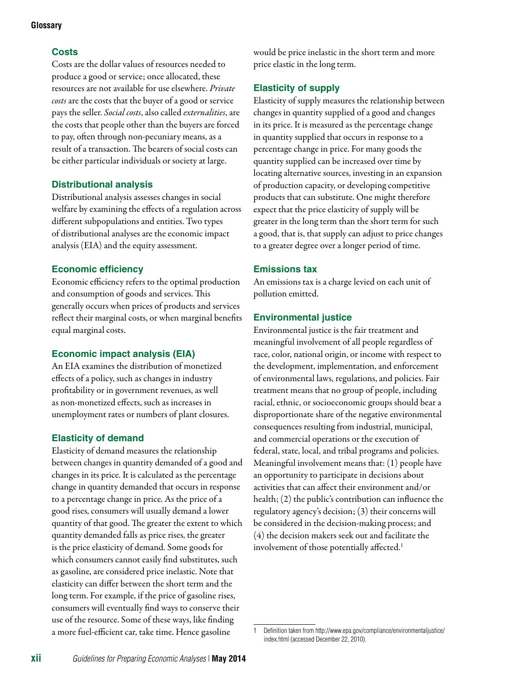#### **Glossary**

#### **Costs**

Costs are the dollar values of resources needed to produce a good or service; once allocated, these resources are not available for use elsewhere. *Private costs* are the costs that the buyer of a good or service pays the seller. *Social costs*, also called *externalities*, are the costs that people other than the buyers are forced to pay, often through non-pecuniary means, as a result of a transaction. The bearers of social costs can be either particular individuals or society at large.

#### **Distributional analysis**

Distributional analysis assesses changes in social welfare by examining the effects of a regulation across different subpopulations and entities. Two types of distributional analyses are the economic impact analysis (EIA) and the equity assessment.

#### **Economic efficiency**

Economic efficiency refers to the optimal production and consumption of goods and services. This generally occurs when prices of products and services reflect their marginal costs, or when marginal benefits equal marginal costs.

#### **Economic impact analysis (EIA)**

An EIA examines the distribution of monetized effects of a policy, such as changes in industry profitability or in government revenues, as well as non-monetized effects, such as increases in unemployment rates or numbers of plant closures.

#### **Elasticity of demand**

Elasticity of demand measures the relationship between changes in quantity demanded of a good and changes in its price. It is calculated as the percentage change in quantity demanded that occurs in response to a percentage change in price. As the price of a good rises, consumers will usually demand a lower quantity of that good. The greater the extent to which quantity demanded falls as price rises, the greater is the price elasticity of demand. Some goods for which consumers cannot easily find substitutes, such as gasoline, are considered price inelastic. Note that elasticity can differ between the short term and the long term. For example, if the price of gasoline rises, consumers will eventually find ways to conserve their use of the resource. Some of these ways, like finding a more fuel-efficient car, take time. Hence gasoline

would be price inelastic in the short term and more price elastic in the long term.

#### **Elasticity of supply**

Elasticity of supply measures the relationship between changes in quantity supplied of a good and changes in its price. It is measured as the percentage change in quantity supplied that occurs in response to a percentage change in price. For many goods the quantity supplied can be increased over time by locating alternative sources, investing in an expansion of production capacity, or developing competitive products that can substitute. One might therefore expect that the price elasticity of supply will be greater in the long term than the short term for such a good, that is, that supply can adjust to price changes to a greater degree over a longer period of time.

#### **Emissions tax**

An emissions tax is a charge levied on each unit of pollution emitted.

#### **Environmental justice**

Environmental justice is the fair treatment and meaningful involvement of all people regardless of race, color, national origin, or income with respect to the development, implementation, and enforcement of environmental laws, regulations, and policies. Fair treatment means that no group of people, including racial, ethnic, or socioeconomic groups should bear a disproportionate share of the negative environmental consequences resulting from industrial, municipal, and commercial operations or the execution of federal, state, local, and tribal programs and policies. Meaningful involvement means that: (1) people have an opportunity to participate in decisions about activities that can affect their environment and/or health; (2) the public's contribution can influence the regulatory agency's decision; (3) their concerns will be considered in the decision-making process; and (4) the decision makers seek out and facilitate the involvement of those potentially affected.<sup>1</sup>

<sup>1</sup> Definition taken from http://www.epa.gov/compliance/environmentaljustice/ index.html (accessed December 22, 2010).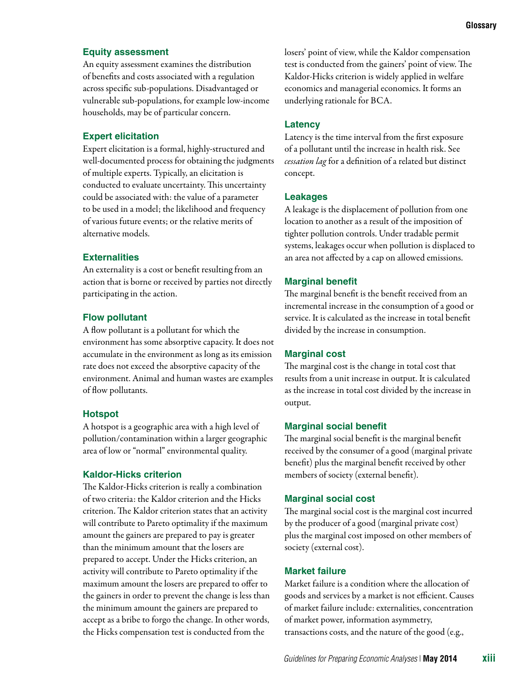#### **Equity assessment**

An equity assessment examines the distribution of benefits and costs associated with a regulation across specific sub-populations. Disadvantaged or vulnerable sub-populations, for example low-income households, may be of particular concern.

#### **Expert elicitation**

Expert elicitation is a formal, highly-structured and well-documented process for obtaining the judgments of multiple experts. Typically, an elicitation is conducted to evaluate uncertainty. This uncertainty could be associated with: the value of a parameter to be used in a model; the likelihood and frequency of various future events; or the relative merits of alternative models.

#### **Externalities**

An externality is a cost or benefit resulting from an action that is borne or received by parties not directly participating in the action.

#### **Flow pollutant**

A flow pollutant is a pollutant for which the environment has some absorptive capacity. It does not accumulate in the environment as long as its emission rate does not exceed the absorptive capacity of the environment. Animal and human wastes are examples of flow pollutants.

#### **Hotspot**

A hotspot is a geographic area with a high level of pollution/contamination within a larger geographic area of low or "normal" environmental quality.

#### **Kaldor-Hicks criterion**

The Kaldor-Hicks criterion is really a combination of two criteria: the Kaldor criterion and the Hicks criterion. The Kaldor criterion states that an activity will contribute to Pareto optimality if the maximum amount the gainers are prepared to pay is greater than the minimum amount that the losers are prepared to accept. Under the Hicks criterion, an activity will contribute to Pareto optimality if the maximum amount the losers are prepared to offer to the gainers in order to prevent the change is less than the minimum amount the gainers are prepared to accept as a bribe to forgo the change. In other words, the Hicks compensation test is conducted from the

losers' point of view, while the Kaldor compensation test is conducted from the gainers' point of view. The Kaldor-Hicks criterion is widely applied in welfare economics and managerial economics. It forms an underlying rationale for BCA.

#### **Latency**

Latency is the time interval from the first exposure of a pollutant until the increase in health risk. See *cessation lag* for a definition of a related but distinct concept.

#### **Leakages**

A leakage is the displacement of pollution from one location to another as a result of the imposition of tighter pollution controls. Under tradable permit systems, leakages occur when pollution is displaced to an area not affected by a cap on allowed emissions.

#### **Marginal benefit**

The marginal benefit is the benefit received from an incremental increase in the consumption of a good or service. It is calculated as the increase in total benefit divided by the increase in consumption.

#### **Marginal cost**

The marginal cost is the change in total cost that results from a unit increase in output. It is calculated as the increase in total cost divided by the increase in output.

#### **Marginal social benefit**

The marginal social benefit is the marginal benefit received by the consumer of a good (marginal private benefit) plus the marginal benefit received by other members of society (external benefit).

#### **Marginal social cost**

The marginal social cost is the marginal cost incurred by the producer of a good (marginal private cost) plus the marginal cost imposed on other members of society (external cost).

#### **Market failure**

Market failure is a condition where the allocation of goods and services by a market is not efficient. Causes of market failure include: externalities, concentration of market power, information asymmetry, transactions costs, and the nature of the good (e.g.,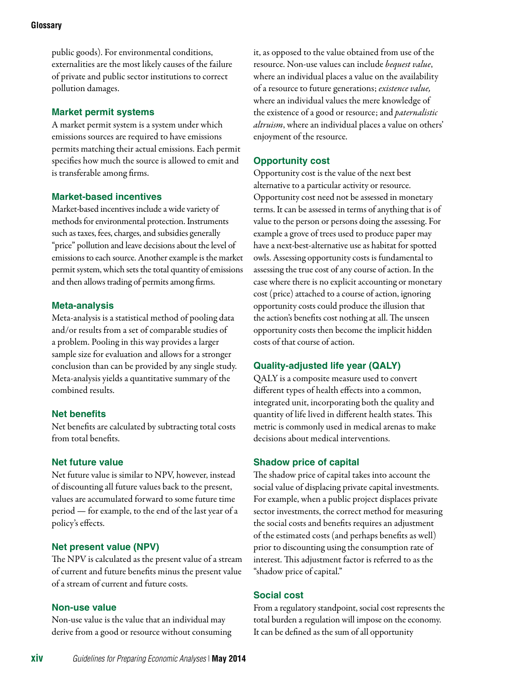#### **Glossary**

public goods). For environmental conditions, externalities are the most likely causes of the failure of private and public sector institutions to correct pollution damages.

#### **Market permit systems**

A market permit system is a system under which emissions sources are required to have emissions permits matching their actual emissions. Each permit specifies how much the source is allowed to emit and is transferable among firms.

#### **Market-based incentives**

Market-based incentives include a wide variety of methods for environmental protection. Instruments such as taxes, fees, charges, and subsidies generally "price" pollution and leave decisions about the level of emissions to each source. Another example is the market permit system, which sets the total quantity of emissions and then allows trading of permits among firms.

#### **Meta-analysis**

Meta-analysis is a statistical method of pooling data and/or results from a set of comparable studies of a problem. Pooling in this way provides a larger sample size for evaluation and allows for a stronger conclusion than can be provided by any single study. Meta-analysis yields a quantitative summary of the combined results.

#### **Net benefits**

Net benefits are calculated by subtracting total costs from total benefits.

#### **Net future value**

Net future value is similar to NPV, however, instead of discounting all future values back to the present, values are accumulated forward to some future time period — for example, to the end of the last year of a policy's effects.

#### **Net present value (NPV)**

The NPV is calculated as the present value of a stream of current and future benefits minus the present value of a stream of current and future costs.

#### **Non-use value**

Non-use value is the value that an individual may derive from a good or resource without consuming

it, as opposed to the value obtained from use of the resource. Non-use values can include *bequest value*, where an individual places a value on the availability of a resource to future generations; *existence value,*  where an individual values the mere knowledge of the existence of a good or resource; and *paternalistic altruism*, where an individual places a value on others' enjoyment of the resource.

#### **Opportunity cost**

Opportunity cost is the value of the next best alternative to a particular activity or resource. Opportunity cost need not be assessed in monetary terms. It can be assessed in terms of anything that is of value to the person or persons doing the assessing. For example a grove of trees used to produce paper may have a next-best-alternative use as habitat for spotted owls. Assessing opportunity costs is fundamental to assessing the true cost of any course of action. In the case where there is no explicit accounting or monetary cost (price) attached to a course of action, ignoring opportunity costs could produce the illusion that the action's benefits cost nothing at all. The unseen opportunity costs then become the implicit hidden costs of that course of action.

#### **Quality-adjusted life year (QALY)**

QALY is a composite measure used to convert different types of health effects into a common, integrated unit, incorporating both the quality and quantity of life lived in different health states. This metric is commonly used in medical arenas to make decisions about medical interventions.

#### **Shadow price of capital**

The shadow price of capital takes into account the social value of displacing private capital investments. For example, when a public project displaces private sector investments, the correct method for measuring the social costs and benefits requires an adjustment of the estimated costs (and perhaps benefits as well) prior to discounting using the consumption rate of interest. This adjustment factor is referred to as the "shadow price of capital."

#### **Social cost**

From a regulatory standpoint, social cost represents the total burden a regulation will impose on the economy. It can be defined as the sum of all opportunity